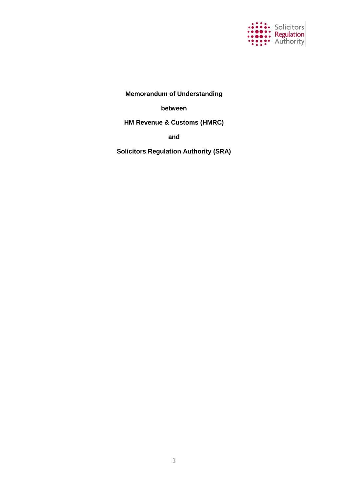

**Memorandum of Understanding**

**between**

**HM Revenue & Customs (HMRC)**

**and**

**Solicitors Regulation Authority (SRA)**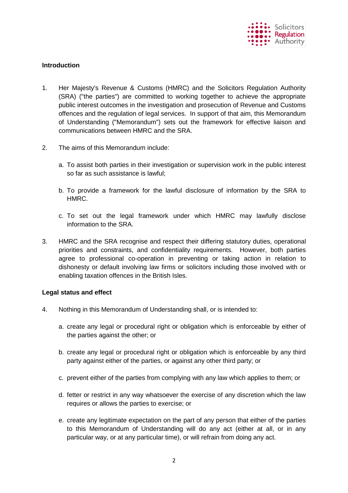

# **Introduction**

- 1. Her Majesty's Revenue & Customs (HMRC) and the Solicitors Regulation Authority (SRA) ("the parties") are committed to working together to achieve the appropriate public interest outcomes in the investigation and prosecution of Revenue and Customs offences and the regulation of legal services. In support of that aim, this Memorandum of Understanding ("Memorandum") sets out the framework for effective liaison and communications between HMRC and the SRA.
- 2. The aims of this Memorandum include:
	- a. To assist both parties in their investigation or supervision work in the public interest so far as such assistance is lawful;
	- b. To provide a framework for the lawful disclosure of information by the SRA to HMRC.
	- c. To set out the legal framework under which HMRC may lawfully disclose information to the SRA.
- 3. HMRC and the SRA recognise and respect their differing statutory duties, operational priorities and constraints, and confidentiality requirements. However, both parties agree to professional co-operation in preventing or taking action in relation to dishonesty or default involving law firms or solicitors including those involved with or enabling taxation offences in the British Isles.

# **Legal status and effect**

- 4. Nothing in this Memorandum of Understanding shall, or is intended to:
	- a. create any legal or procedural right or obligation which is enforceable by either of the parties against the other; or
	- b. create any legal or procedural right or obligation which is enforceable by any third party against either of the parties, or against any other third party; or
	- c. prevent either of the parties from complying with any law which applies to them; or
	- d. fetter or restrict in any way whatsoever the exercise of any discretion which the law requires or allows the parties to exercise; or
	- e. create any legitimate expectation on the part of any person that either of the parties to this Memorandum of Understanding will do any act (either at all, or in any particular way, or at any particular time), or will refrain from doing any act.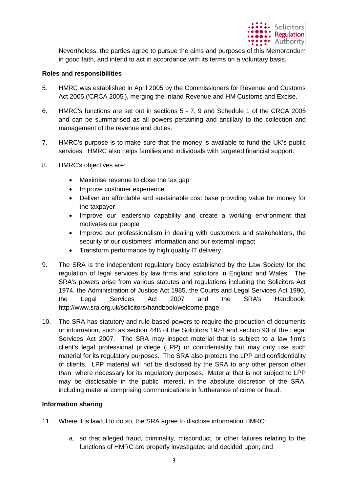

Nevertheless, the parties agree to pursue the aims and purposes of this Memorandum in good faith, and intend to act in accordance with its terms on a voluntary basis.

# **Roles and responsibilities**

- 5. HMRC was established in April 2005 by the Commissioners for Revenue and Customs Act 2005 ('CRCA 2005'), merging the Inland Revenue and HM Customs and Excise.
- 6. HMRC's functions are set out in sections 5 7, 9 and Schedule 1 of the CRCA 2005 and can be summarised as all powers pertaining and ancillary to the collection and management of the revenue and duties.
- 7. HMRC's purpose is to make sure that the money is available to fund the UK's public services. HMRC also helps families and individuals with targeted financial support.
- 8. HMRC's objectives are:
	- Maximise revenue to close the tax gap
	- Improve customer experience
	- Deliver an affordable and sustainable cost base providing value for money for the taxpayer
	- Improve our leadership capability and create a working environment that motivates our people
	- Improve our professionalism in dealing with customers and stakeholders, the security of our customers' information and our external impact
	- Transform performance by high quality IT delivery
- 9. The SRA is the independent regulatory body established by the Law Society for the regulation of legal services by law firms and solicitors in England and Wales. The SRA's powers arise from various statutes and regulations including the Solicitors Act 1974, the Administration of Justice Act 1985, the Courts and Legal Services Act 1990, the Legal Services Act 2007 and the SRA's Handbook: http://www.sra.org.uk/solicitors/handbook/welcome.page
- 10. The SRA has statutory and rule-based powers to require the production of documents or information, such as section 44B of the Solicitors 1974 and section 93 of the Legal Services Act 2007. The SRA may inspect material that is subject to a law firm's client's legal professional privilege (LPP) or confidentiality but may only use such material for its regulatory purposes. The SRA also protects the LPP and confidentiality of clients. LPP material will not be disclosed by the SRA to any other person other than where necessary for its regulatory purposes. Material that is not subject to LPP may be disclosable in the public interest, in the absolute discretion of the SRA, including material comprising communications in furtherance of crime or fraud.

# **Information sharing**

- 11. Where it is lawful to do so, the SRA agree to disclose information HMRC:
	- a. so that alleged fraud, criminality, misconduct, or other failures relating to the functions of HMRC are properly investigated and decided upon; and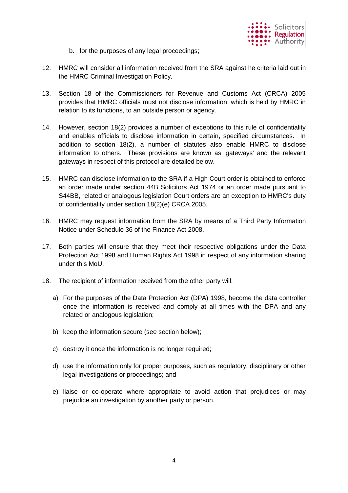

- b. for the purposes of any legal proceedings;
- 12. HMRC will consider all information received from the SRA against he criteria laid out in the HMRC Criminal Investigation Policy.
- 13. Section 18 of the Commissioners for Revenue and Customs Act (CRCA) 2005 provides that HMRC officials must not disclose information, which is held by HMRC in relation to its functions, to an outside person or agency.
- 14. However, section 18(2) provides a number of exceptions to this rule of confidentiality and enables officials to disclose information in certain, specified circumstances. In addition to section 18(2), a number of statutes also enable HMRC to disclose information to others. These provisions are known as 'gateways' and the relevant gateways in respect of this protocol are detailed below.
- 15. HMRC can disclose information to the SRA if a High Court order is obtained to enforce an order made under section 44B Solicitors Act 1974 or an order made pursuant to S44BB, related or analogous legislation Court orders are an exception to HMRC's duty of confidentiality under section 18(2)(e) CRCA 2005.
- 16. HMRC may request information from the SRA by means of a Third Party Information Notice under Schedule 36 of the Finance Act 2008.
- 17. Both parties will ensure that they meet their respective obligations under the Data Protection Act 1998 and Human Rights Act 1998 in respect of any information sharing under this MoU.
- 18. The recipient of information received from the other party will:
	- a) For the purposes of the Data Protection Act (DPA) 1998, become the data controller once the information is received and comply at all times with the DPA and any related or analogous legislation;
	- b) keep the information secure (see section below);
	- c) destroy it once the information is no longer required;
	- d) use the information only for proper purposes, such as regulatory, disciplinary or other legal investigations or proceedings; and
	- e) liaise or co-operate where appropriate to avoid action that prejudices or may prejudice an investigation by another party or person.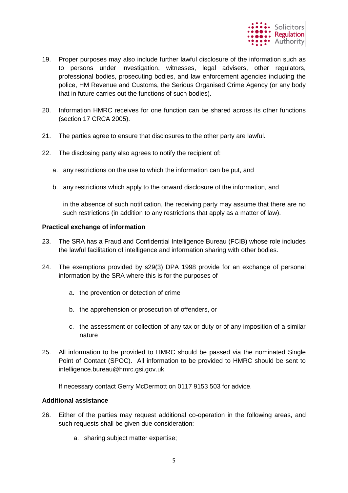

- 19. Proper purposes may also include further lawful disclosure of the information such as to persons under investigation, witnesses, legal advisers, other regulators, professional bodies, prosecuting bodies, and law enforcement agencies including the police, HM Revenue and Customs, the Serious Organised Crime Agency (or any body that in future carries out the functions of such bodies).
- 20. Information HMRC receives for one function can be shared across its other functions (section 17 CRCA 2005).
- 21. The parties agree to ensure that disclosures to the other party are lawful.
- 22. The disclosing party also agrees to notify the recipient of:
	- a. any restrictions on the use to which the information can be put, and
	- b. any restrictions which apply to the onward disclosure of the information, and

in the absence of such notification, the receiving party may assume that there are no such restrictions (in addition to any restrictions that apply as a matter of law).

### **Practical exchange of information**

- 23. The SRA has a Fraud and Confidential Intelligence Bureau (FCIB) whose role includes the lawful facilitation of intelligence and information sharing with other bodies.
- 24. The exemptions provided by s29(3) DPA 1998 provide for an exchange of personal information by the SRA where this is for the purposes of
	- a. the prevention or detection of crime
	- b. the apprehension or prosecution of offenders, or
	- c. the assessment or collection of any tax or duty or of any imposition of a similar nature
- 25. All information to be provided to HMRC should be passed via the nominated Single Point of Contact (SPOC). All information to be provided to HMRC should be sent to intelligence.bureau@hmrc.gsi.gov.uk

If necessary contact Gerry McDermott on 0117 9153 503 for advice.

## **Additional assistance**

- 26. Either of the parties may request additional co-operation in the following areas, and such requests shall be given due consideration:
	- a. sharing subject matter expertise;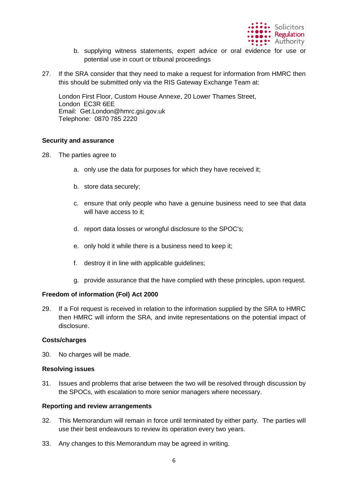

- b. supplying witness statements, expert advice or oral evidence for use or potential use in court or tribunal proceedings
- 27. If the SRA consider that they need to make a request for information from HMRC then this should be submitted only via the RIS Gateway Exchange Team at:

London First Floor, Custom House Annexe, 20 Lower Thames Street, London EC3R 6EE Email: Get.London@hmrc.gsi.gov.uk Telephone: 0870 785 2220

## **Security and assurance**

- 28. The parties agree to
	- a. only use the data for purposes for which they have received it;
	- b. store data securely;
	- c. ensure that only people who have a genuine business need to see that data will have access to it;
	- d. report data losses or wrongful disclosure to the SPOC's;
	- e. only hold it while there is a business need to keep it;
	- f. destroy it in line with applicable guidelines;
	- g. provide assurance that the have complied with these principles, upon request.

# **Freedom of information (FoI) Act 2000**

29. If a FoI request is received in relation to the information supplied by the SRA to HMRC then HMRC will inform the SRA, and invite representations on the potential impact of disclosure.

### **Costs/charges**

30. No charges will be made.

### **Resolving issues**

31. Issues and problems that arise between the two will be resolved through discussion by the SPOCs, with escalation to more senior managers where necessary.

## **Reporting and review arrangements**

- 32. This Memorandum will remain in force until terminated by either party. The parties will use their best endeavours to review its operation every two years.
- 33. Any changes to this Memorandum may be agreed in writing.